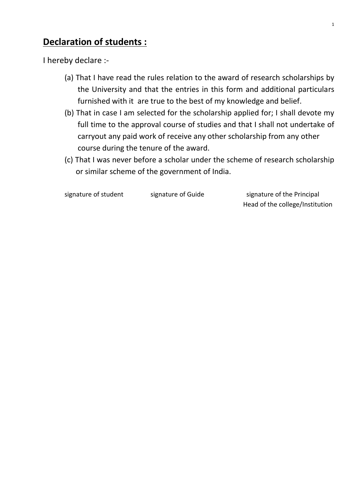## **Declaration of students :**

I hereby declare :-

- (a) That I have read the rules relation to the award of research scholarships by the University and that the entries in this form and additional particulars furnished with it are true to the best of my knowledge and belief.
- (b) That in case I am selected for the scholarship applied for; I shall devote my full time to the approval course of studies and that I shall not undertake of carryout any paid work of receive any other scholarship from any other course during the tenure of the award.
- (c) That I was never before a scholar under the scheme of research scholarship or similar scheme of the government of India.

signature of student signature of Guide signature of the Principal Head of the college/Institution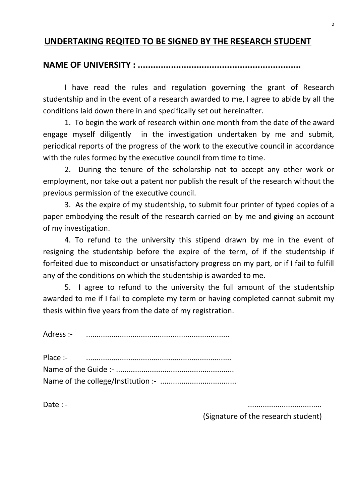#### **UNDERTAKING REQITED TO BE SIGNED BY THE RESEARCH STUDENT**

## **NAME OF UNIVERSITY : ................................................................**

I have read the rules and regulation governing the grant of Research studentship and in the event of a research awarded to me, I agree to abide by all the conditions laid down there in and specifically set out hereinafter.

1. To begin the work of research within one month from the date of the award engage myself diligently in the investigation undertaken by me and submit, periodical reports of the progress of the work to the executive council in accordance with the rules formed by the executive council from time to time.

2. During the tenure of the scholarship not to accept any other work or employment, nor take out a patent nor publish the result of the research without the previous permission of the executive council.

3. As the expire of my studentship, to submit four printer of typed copies of a paper embodying the result of the research carried on by me and giving an account of my investigation.

4. To refund to the university this stipend drawn by me in the event of resigning the studentship before the expire of the term, of if the studentship if forfeited due to misconduct or unsatisfactory progress on my part, or if I fail to fulfill any of the conditions on which the studentship is awarded to me.

5. I agree to refund to the university the full amount of the studentship awarded to me if I fail to complete my term or having completed cannot submit my thesis within five years from the date of my registration.

Adress :- ....................................................................

Date : - ...................................

(Signature of the research student)